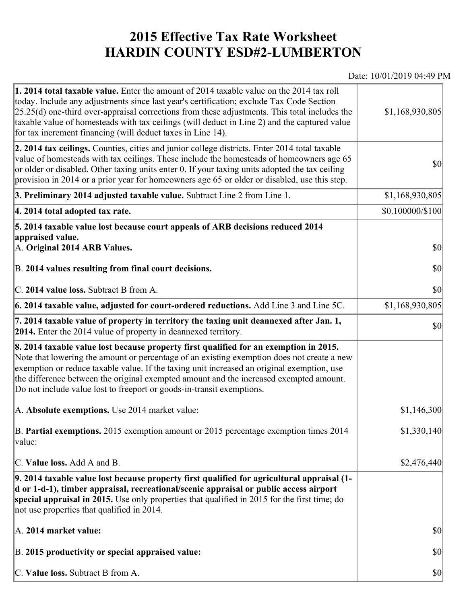## **2015 Effective Tax Rate Worksheet HARDIN COUNTY ESD#2-LUMBERTON**

## Date: 10/01/2019 04:49 PM

| <b>1. 2014 total taxable value.</b> Enter the amount of 2014 taxable value on the 2014 tax roll<br>today. Include any adjustments since last year's certification; exclude Tax Code Section<br>$[25.25(d)$ one-third over-appraisal corrections from these adjustments. This total includes the<br>taxable value of homesteads with tax ceilings (will deduct in Line 2) and the captured value<br>for tax increment financing (will deduct taxes in Line 14). | \$1,168,930,805                     |
|----------------------------------------------------------------------------------------------------------------------------------------------------------------------------------------------------------------------------------------------------------------------------------------------------------------------------------------------------------------------------------------------------------------------------------------------------------------|-------------------------------------|
| 2. 2014 tax ceilings. Counties, cities and junior college districts. Enter 2014 total taxable<br>value of homesteads with tax ceilings. These include the homesteads of homeowners age 65<br>or older or disabled. Other taxing units enter 0. If your taxing units adopted the tax ceiling<br>provision in 2014 or a prior year for homeowners age 65 or older or disabled, use this step.                                                                    | $ 10\rangle$                        |
| 3. Preliminary 2014 adjusted taxable value. Subtract Line 2 from Line 1.                                                                                                                                                                                                                                                                                                                                                                                       | \$1,168,930,805                     |
| 4. 2014 total adopted tax rate.                                                                                                                                                                                                                                                                                                                                                                                                                                | $$0.100000 \times 100$              |
| 5. 2014 taxable value lost because court appeals of ARB decisions reduced 2014<br>appraised value.                                                                                                                                                                                                                                                                                                                                                             |                                     |
| A. Original 2014 ARB Values.                                                                                                                                                                                                                                                                                                                                                                                                                                   | $ 10\rangle$                        |
| B. 2014 values resulting from final court decisions.                                                                                                                                                                                                                                                                                                                                                                                                           | \$0                                 |
| C. 2014 value loss. Subtract B from A.                                                                                                                                                                                                                                                                                                                                                                                                                         | $\vert \mathbf{S} \mathbf{O} \vert$ |
| 6. 2014 taxable value, adjusted for court-ordered reductions. Add Line 3 and Line 5C.                                                                                                                                                                                                                                                                                                                                                                          | \$1,168,930,805                     |
| 7. 2014 taxable value of property in territory the taxing unit deannexed after Jan. 1,<br><b>2014.</b> Enter the 2014 value of property in deannexed territory.                                                                                                                                                                                                                                                                                                | $ 10\rangle$                        |
| 8. 2014 taxable value lost because property first qualified for an exemption in 2015.<br>Note that lowering the amount or percentage of an existing exemption does not create a new<br>exemption or reduce taxable value. If the taxing unit increased an original exemption, use<br>the difference between the original exempted amount and the increased exempted amount.<br>Do not include value lost to freeport or goods-in-transit exemptions.           |                                     |
| A. Absolute exemptions. Use 2014 market value:                                                                                                                                                                                                                                                                                                                                                                                                                 | \$1,146,300                         |
| B. Partial exemptions. 2015 exemption amount or 2015 percentage exemption times 2014<br>value:                                                                                                                                                                                                                                                                                                                                                                 | \$1,330,140                         |
| C. Value loss. Add A and B.                                                                                                                                                                                                                                                                                                                                                                                                                                    | \$2,476,440                         |
| 9. 2014 taxable value lost because property first qualified for agricultural appraisal (1-<br>d or 1-d-1), timber appraisal, recreational/scenic appraisal or public access airport<br>special appraisal in 2015. Use only properties that qualified in 2015 for the first time; do<br>not use properties that qualified in 2014.                                                                                                                              |                                     |
| A. 2014 market value:                                                                                                                                                                                                                                                                                                                                                                                                                                          | $ 10\rangle$                        |
| B. 2015 productivity or special appraised value:                                                                                                                                                                                                                                                                                                                                                                                                               | $ 10\rangle$                        |
| C. Value loss. Subtract B from A.                                                                                                                                                                                                                                                                                                                                                                                                                              | $ 10\rangle$                        |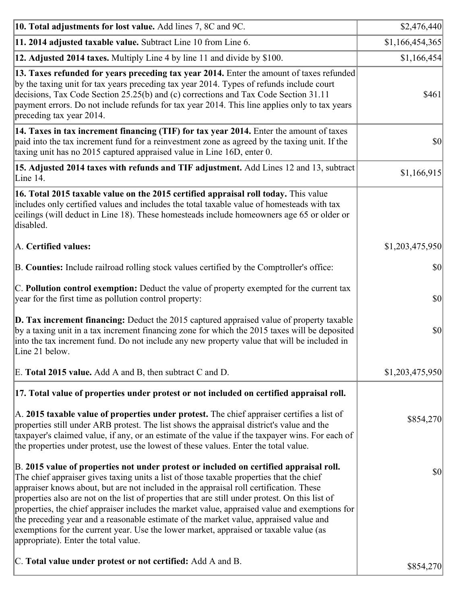| 10. Total adjustments for lost value. Add lines 7, 8C and 9C.                                                                                                                                                                                                                                                                                                                                                                                                                                                                                                                                                                                                                                              | \$2,476,440     |
|------------------------------------------------------------------------------------------------------------------------------------------------------------------------------------------------------------------------------------------------------------------------------------------------------------------------------------------------------------------------------------------------------------------------------------------------------------------------------------------------------------------------------------------------------------------------------------------------------------------------------------------------------------------------------------------------------------|-----------------|
| 11. 2014 adjusted taxable value. Subtract Line 10 from Line 6.                                                                                                                                                                                                                                                                                                                                                                                                                                                                                                                                                                                                                                             | \$1,166,454,365 |
| 12. Adjusted 2014 taxes. Multiply Line 4 by line 11 and divide by \$100.                                                                                                                                                                                                                                                                                                                                                                                                                                                                                                                                                                                                                                   | \$1,166,454     |
| 13. Taxes refunded for years preceding tax year 2014. Enter the amount of taxes refunded<br>by the taxing unit for tax years preceding tax year 2014. Types of refunds include court<br>decisions, Tax Code Section 25.25(b) and (c) corrections and Tax Code Section 31.11<br>payment errors. Do not include refunds for tax year 2014. This line applies only to tax years<br>preceding tax year 2014.                                                                                                                                                                                                                                                                                                   | \$461           |
| 14. Taxes in tax increment financing (TIF) for tax year 2014. Enter the amount of taxes<br>paid into the tax increment fund for a reinvestment zone as agreed by the taxing unit. If the<br>taxing unit has no 2015 captured appraised value in Line 16D, enter 0.                                                                                                                                                                                                                                                                                                                                                                                                                                         | $ 10\rangle$    |
| 15. Adjusted 2014 taxes with refunds and TIF adjustment. Add Lines 12 and 13, subtract<br>Line 14.                                                                                                                                                                                                                                                                                                                                                                                                                                                                                                                                                                                                         | \$1,166,915     |
| 16. Total 2015 taxable value on the 2015 certified appraisal roll today. This value<br>includes only certified values and includes the total taxable value of homesteads with tax<br>ceilings (will deduct in Line 18). These homesteads include homeowners age 65 or older or<br>disabled.                                                                                                                                                                                                                                                                                                                                                                                                                |                 |
| A. Certified values:                                                                                                                                                                                                                                                                                                                                                                                                                                                                                                                                                                                                                                                                                       | \$1,203,475,950 |
| B. Counties: Include railroad rolling stock values certified by the Comptroller's office:                                                                                                                                                                                                                                                                                                                                                                                                                                                                                                                                                                                                                  | $ 10\rangle$    |
| C. Pollution control exemption: Deduct the value of property exempted for the current tax<br>year for the first time as pollution control property:                                                                                                                                                                                                                                                                                                                                                                                                                                                                                                                                                        | $ 10\rangle$    |
| $\vert$ D. Tax increment financing: Deduct the 2015 captured appraised value of property taxable<br>by a taxing unit in a tax increment financing zone for which the 2015 taxes will be deposited<br>into the tax increment fund. Do not include any new property value that will be included in<br>Line 21 below.                                                                                                                                                                                                                                                                                                                                                                                         | $ 10\rangle$    |
| E. Total 2015 value. Add A and B, then subtract C and D.                                                                                                                                                                                                                                                                                                                                                                                                                                                                                                                                                                                                                                                   | \$1,203,475,950 |
| 17. Total value of properties under protest or not included on certified appraisal roll.                                                                                                                                                                                                                                                                                                                                                                                                                                                                                                                                                                                                                   |                 |
| A. 2015 taxable value of properties under protest. The chief appraiser certifies a list of<br>properties still under ARB protest. The list shows the appraisal district's value and the<br>taxpayer's claimed value, if any, or an estimate of the value if the taxpayer wins. For each of<br>the properties under protest, use the lowest of these values. Enter the total value.                                                                                                                                                                                                                                                                                                                         | \$854,270       |
| B. 2015 value of properties not under protest or included on certified appraisal roll.<br>The chief appraiser gives taxing units a list of those taxable properties that the chief<br>appraiser knows about, but are not included in the appraisal roll certification. These<br>properties also are not on the list of properties that are still under protest. On this list of<br>properties, the chief appraiser includes the market value, appraised value and exemptions for<br>the preceding year and a reasonable estimate of the market value, appraised value and<br>exemptions for the current year. Use the lower market, appraised or taxable value (as<br>appropriate). Enter the total value. | $ 10\rangle$    |
| C. Total value under protest or not certified: Add A and B.                                                                                                                                                                                                                                                                                                                                                                                                                                                                                                                                                                                                                                                | \$854,270       |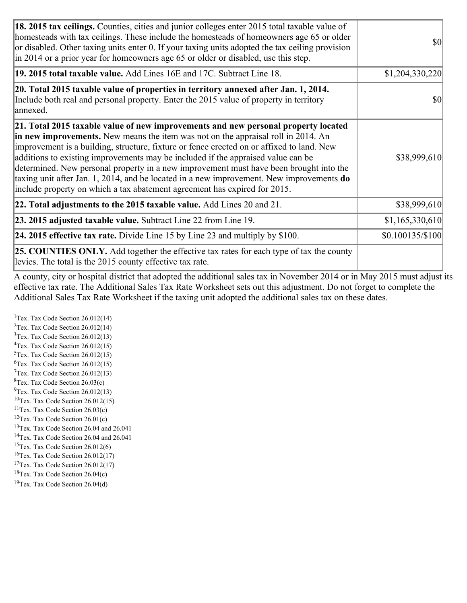| 18. 2015 tax ceilings. Counties, cities and junior colleges enter 2015 total taxable value of<br>homesteads with tax ceilings. These include the homesteads of homeowners age 65 or older<br>or disabled. Other taxing units enter 0. If your taxing units adopted the tax ceiling provision<br>in 2014 or a prior year for homeowners age 65 or older or disabled, use this step.                                                                                                                                                                                                                                                 | <b>\$0</b>        |
|------------------------------------------------------------------------------------------------------------------------------------------------------------------------------------------------------------------------------------------------------------------------------------------------------------------------------------------------------------------------------------------------------------------------------------------------------------------------------------------------------------------------------------------------------------------------------------------------------------------------------------|-------------------|
| 19. 2015 total taxable value. Add Lines 16E and 17C. Subtract Line 18.                                                                                                                                                                                                                                                                                                                                                                                                                                                                                                                                                             | \$1,204,330,220   |
| 20. Total 2015 taxable value of properties in territory annexed after Jan. 1, 2014.<br>Include both real and personal property. Enter the 2015 value of property in territory<br>annexed.                                                                                                                                                                                                                                                                                                                                                                                                                                          | <b>\$0</b>        |
| 21. Total 2015 taxable value of new improvements and new personal property located<br>in new improvements. New means the item was not on the appraisal roll in 2014. An<br>improvement is a building, structure, fixture or fence erected on or affixed to land. New<br>additions to existing improvements may be included if the appraised value can be<br>determined. New personal property in a new improvement must have been brought into the<br>taxing unit after Jan. 1, 2014, and be located in a new improvement. New improvements <b>do</b><br>include property on which a tax abatement agreement has expired for 2015. | \$38,999,610      |
| $ 22.$ Total adjustments to the 2015 taxable value. Add Lines 20 and 21.                                                                                                                                                                                                                                                                                                                                                                                                                                                                                                                                                           | \$38,999,610      |
| <b>23. 2015 adjusted taxable value.</b> Subtract Line 22 from Line 19.                                                                                                                                                                                                                                                                                                                                                                                                                                                                                                                                                             | \$1,165,330,610   |
| 24. 2015 effective tax rate. Divide Line 15 by Line 23 and multiply by $$100$ .                                                                                                                                                                                                                                                                                                                                                                                                                                                                                                                                                    | $$0.100135/\$100$ |
| <b>25. COUNTIES ONLY.</b> Add together the effective tax rates for each type of tax the county<br>levies. The total is the 2015 county effective tax rate.                                                                                                                                                                                                                                                                                                                                                                                                                                                                         |                   |

A county, city or hospital district that adopted the additional sales tax in November 2014 or in May 2015 must adjust its effective tax rate. The Additional Sales Tax Rate Worksheet sets out this adjustment. Do not forget to complete the Additional Sales Tax Rate Worksheet if the taxing unit adopted the additional sales tax on these dates.

<sup>1</sup>Tex. Tax Code Section  $26.012(14)$ <sup>2</sup>Tex. Tax Code Section  $26.012(14)$  $3$ Tex. Tax Code Section 26.012(13)  ${}^{4}$ Tex. Tax Code Section 26.012(15) <sup>5</sup>Tex. Tax Code Section 26.012(15)  ${}^{6}$ Tex. Tax Code Section 26.012(15)  $7$ Tex. Tax Code Section 26.012(13)  ${}^{8}$ Tex. Tax Code Section 26.03(c)  $^{9}$ Tex. Tax Code Section 26.012(13)  $10$ Tex. Tax Code Section 26.012(15) <sup>11</sup>Tex. Tax Code Section  $26.03(c)$  ${}^{12}$ Tex. Tax Code Section 26.01(c) <sup>13</sup>Tex. Tax Code Section 26.04 and 26.041 <sup>14</sup>Tex. Tax Code Section 26.04 and 26.041 <sup>15</sup>Tex. Tax Code Section  $26.012(6)$  $16$ Tex. Tax Code Section 26.012(17) <sup>17</sup>Tex. Tax Code Section 26.012(17) <sup>18</sup>Tex. Tax Code Section  $26.04(c)$  $19$ Tex. Tax Code Section 26.04(d)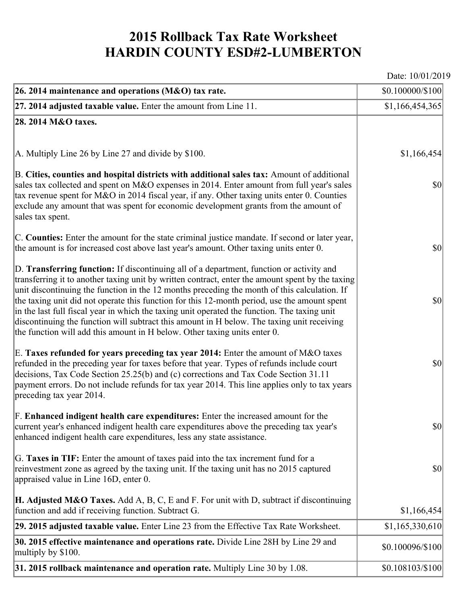## **2015 Rollback Tax Rate Worksheet HARDIN COUNTY ESD#2-LUMBERTON**

Date: 10/01/2019

| 26. 2014 maintenance and operations (M&O) tax rate.                                                                                                                                                                                                                                                                                                                                                                                                                                                                                                                                                                                                                     | \$0.100000/\$100 |
|-------------------------------------------------------------------------------------------------------------------------------------------------------------------------------------------------------------------------------------------------------------------------------------------------------------------------------------------------------------------------------------------------------------------------------------------------------------------------------------------------------------------------------------------------------------------------------------------------------------------------------------------------------------------------|------------------|
| $27.2014$ adjusted taxable value. Enter the amount from Line 11.                                                                                                                                                                                                                                                                                                                                                                                                                                                                                                                                                                                                        | \$1,166,454,365  |
| 28. 2014 M&O taxes.                                                                                                                                                                                                                                                                                                                                                                                                                                                                                                                                                                                                                                                     |                  |
|                                                                                                                                                                                                                                                                                                                                                                                                                                                                                                                                                                                                                                                                         |                  |
| A. Multiply Line 26 by Line 27 and divide by \$100.                                                                                                                                                                                                                                                                                                                                                                                                                                                                                                                                                                                                                     | \$1,166,454      |
| B. Cities, counties and hospital districts with additional sales tax: Amount of additional<br>sales tax collected and spent on M&O expenses in 2014. Enter amount from full year's sales<br>tax revenue spent for M&O in 2014 fiscal year, if any. Other taxing units enter 0. Counties<br>exclude any amount that was spent for economic development grants from the amount of<br>sales tax spent.                                                                                                                                                                                                                                                                     | $ 10\rangle$     |
| C. Counties: Enter the amount for the state criminal justice mandate. If second or later year,<br>the amount is for increased cost above last year's amount. Other taxing units enter 0.                                                                                                                                                                                                                                                                                                                                                                                                                                                                                | $ 10\rangle$     |
| D. Transferring function: If discontinuing all of a department, function or activity and<br>transferring it to another taxing unit by written contract, enter the amount spent by the taxing<br>unit discontinuing the function in the 12 months preceding the month of this calculation. If<br>the taxing unit did not operate this function for this 12-month period, use the amount spent<br>in the last full fiscal year in which the taxing unit operated the function. The taxing unit<br>discontinuing the function will subtract this amount in H below. The taxing unit receiving<br>the function will add this amount in H below. Other taxing units enter 0. | $ 10\rangle$     |
| E. Taxes refunded for years preceding tax year 2014: Enter the amount of M&O taxes<br>refunded in the preceding year for taxes before that year. Types of refunds include court<br>decisions, Tax Code Section 25.25(b) and (c) corrections and Tax Code Section 31.11<br>payment errors. Do not include refunds for tax year 2014. This line applies only to tax years<br>preceding tax year 2014.                                                                                                                                                                                                                                                                     | $ 10\rangle$     |
| F. Enhanced indigent health care expenditures: Enter the increased amount for the<br>current year's enhanced indigent health care expenditures above the preceding tax year's<br>enhanced indigent health care expenditures, less any state assistance.                                                                                                                                                                                                                                                                                                                                                                                                                 | <b>\$0</b>       |
| G. Taxes in TIF: Enter the amount of taxes paid into the tax increment fund for a<br>reinvestment zone as agreed by the taxing unit. If the taxing unit has no 2015 captured<br>appraised value in Line 16D, enter 0.                                                                                                                                                                                                                                                                                                                                                                                                                                                   | $ 10\rangle$     |
| <b>H. Adjusted M&amp;O Taxes.</b> Add A, B, C, E and F. For unit with D, subtract if discontinuing<br>function and add if receiving function. Subtract G.                                                                                                                                                                                                                                                                                                                                                                                                                                                                                                               | \$1,166,454      |
| 29. 2015 adjusted taxable value. Enter Line 23 from the Effective Tax Rate Worksheet.                                                                                                                                                                                                                                                                                                                                                                                                                                                                                                                                                                                   | \$1,165,330,610  |
| 30. 2015 effective maintenance and operations rate. Divide Line 28H by Line 29 and<br>multiply by \$100.                                                                                                                                                                                                                                                                                                                                                                                                                                                                                                                                                                | \$0.100096/\$100 |
| 31. 2015 rollback maintenance and operation rate. Multiply Line 30 by 1.08.                                                                                                                                                                                                                                                                                                                                                                                                                                                                                                                                                                                             | \$0.108103/\$100 |